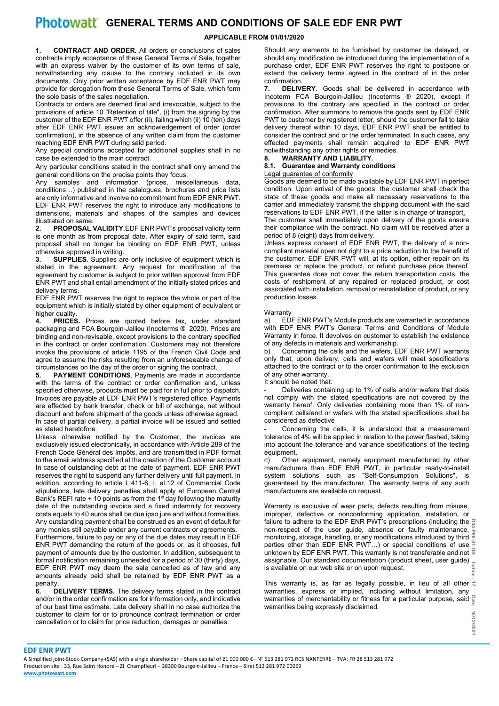# **Photowatt** GENERAL TERMS AND CONDITIONS OF SALE EDF ENR PWT

# **APPLICABLE FROM 01/01/2020**

**1. CONTRACT AND ORDER.** All orders or conclusions of sales contracts imply acceptance of these General Terms of Sale, together with an express waiver by the customer of its own terms of sale, notwithstanding any clause to the contrary included in its own documents. Only prior written acceptance by EDF ENR PWT may provide for derogation from these General Terms of Sale, which form the sole basis of the sales negotiation.

Contracts or orders are deemed final and irrevocable, subject to the provisions of article 10 "Retention of title", (i) from the signing by the customer of the EDF ENR PWT offer (ii), failing which (ii) 10 (ten) days after EDF ENR PWT issues an acknowledgement of order (order confirmation), in the absence of any written claim from the customer reaching EDF ENR PWT during said period.

Any special conditions accepted for additional supplies shall in no case be extended to the main contract.

Any particular conditions stated in the contract shall only amend the general conditions on the precise points they focus.

Any samples and information (prices, miscellaneous data, conditions…) published in the catalogues, brochures and price lists are only informative and involve no commitment from EDF ENR PWT. EDF ENR PWT reserves the right to introduce any modifications to dimensions, materials and shapes of the samples and devices illustrated on same.<br>2 **PROPOSAL** 

**2. PROPOSAL VALIDITY**.EDF ENR PWT's proposal validity term is one month as from proposal date. After expiry of said term, said proposal shall no longer be binding on EDF ENR PWT, unless otherwise approved in writing.

**3. SUPPLIES**. Supplies are only inclusive of equipment which is stated in the agreement. Any request for modification of the agreement by customer is subject to prior written approval from EDF ENR PWT and shall entail amendment of the initially stated prices and delivery terms.

EDF ENR PWT reserves the right to replace the whole or part of the equipment which is initially stated by other equipment of equivalent or higher quality.

**4. PRICES.** Prices are quoted before tax, under standard packaging and FCA Bourgoin-Jallieu (Incoterms ® 2020). Prices are binding and non-revisable, except provisions to the contrary specified in the contract or order confirmation. Customers may not therefore invoke the provisions of article 1195 of the French Civil Code and agree to assume the risks resulting from an unforeseeable change of circumstances on the day of the order or signing the contract.

**5. PAYMENT CONDITIONS**. Payments are made in accordance with the terms of the contract or order confirmation and, unless specified otherwise, products must be paid for in full prior to dispatch. Invoices are payable at EDF ENR PWT's registered office. Payments are effected by bank transfer, check or bill of exchange, net without discount and before shipment of the goods unless otherwise agreed. In case of partial delivery, a partial invoice will be issued and settled as stated heretofore.

Unless otherwise notified by the Customer, the invoices are exclusively issued electronically, in accordance with Article 289 of the French Code Général des Impôts, and are transmitted in PDF format to the email address specified at the creation of the Customer account In case of outstanding debt at the date of payment, EDF ENR PWT reserves the right to suspend any further delivery until full payment. In addition, according to article L.411-6, I, al.12 of Commercial Code stipulations, late delivery penalties shall apply at European Central Bank's REFI rate + 10 points as from the 1st day following the maturity date of the outstanding invoice and a fixed indemnity for recovery costs equals to 40 euros shall be due ipso jure and without formalities. Any outstanding payment shall be construed as an event of default for any monies still payable under any current contracts or agreements. Furthermore, failure to pay on any of the due dates may result in EDF ENR PWT demanding the return of the goods or, as it chooses, full payment of amounts due by the customer. In addition, subsequent to formal notification remaining unheeded for a period of 30 (thirty) days, EDF ENR PWT may deem the sale cancelled as of law and any amounts already paid shall be retained by EDF ENR PWT as a

penalty.<br>6. D **DELIVERY TERMS.** The delivery terms stated in the contract and/or in the order confirmation are for information only, and indicative of our best time estimate. Late delivery shall in no case authorize the customer to claim for or to pronounce contract termination or order cancellation or to claim for price reduction, damages or penalties.

Should any elements to be furnished by customer be delayed, or should any modification be introduced during the implementation of a purchase order, EDF ENR PWT reserves the right to postpone or extend the delivery terms agreed in the contract of in the order confirmation.<br>7. DELIV

**7. DELIVERY**. Goods shall be delivered in accordance with Incoterm FCA Bourgoin-Jallieu (Incoterms ® 2020), except if provisions to the contrary are specified in the contract or order confirmation. After summons to remove the goods sent by EDF ENR PWT to customer by registered letter, should the customer fail to take delivery thereof within 10 days, EDF ENR PWT shall be entitled to consider the contract and or the order terminated. In such cases, any effected payments shall remain acquired to EDF ENR PWT notwithstanding any other rights or remedies.

# **8. WARRANTY AND LIABILITY.**

# **8.1. Guarantee and Warranty conditions**

#### Legal guarantee of conformity

Goods are deemed to be made available by EDF ENR PWT in perfect condition. Upon arrival of the goods, the customer shall check the state of these goods and make all necessary reservations to the carrier and immediately transmit the shipping document with the said reservations to EDF ENR PWT, if the latter is in charge of transport.

The customer shall immediately upon delivery of the goods ensure their compliance with the contract. No claim will be received after a period of 8 (eight) days from delivery.

Unless express consent of EDF ENR PWT, the delivery of a noncompliant material open not right to a price reduction to the benefit of the customer. EDF ENR PWT will, at its option, either repair on its premises or replace the product, or refund purchase price thereof. This guarantee does not cover the return transportation costs, the costs of reshipment of any repaired or replaced product, or cost associated with installation, removal or reinstallation of product, or any production losses.

### **Warranty**

a) EDF ENR PWT's Module products are warranted in accordance with EDF ENR PWT's General Terms and Conditions of Module Warranty in force. It devolves on customer to establish the existence of any defects in materials and workmanship.

b) Concerning the cells and the wafers, EDF ENR PWT warrants only that, upon delivery, cells and wafers will meet specifications attached to the contract or to the order confirmation to the exclusion of any other warranty.

## It should be noted that:

Deliveries containing up to 1% of cells and/or wafers that does not comply with the stated specifications are not covered by the warranty hereof. Only deliveries containing more than 1% of noncompliant cells/and or wafers with the stated specifications shall be considered as defective

Concerning the cells, it is understood that a measurement tolerance of 4% will be applied in relation to the power flashed, taking into account the tolerance and variance specifications of the testing equipment.

c) Other equipment, namely equipment manufactured by other manufacturers than EDF ENR PWT, in particular ready-to-install system solutions such as "Self-Consumption Solutions", is guaranteed by the manufacturer. The warranty terms of any such manufacturers are available on request.

**D04-P06-01 GB Indice** Warranty is exclusive of wear parts, defects resulting from misuse, improper, defective or nonconforming application, installation, or failure to adhere to the EDF ENR PWT's prescriptions (including the  $\Xi$ non-respect of the user guide, absence or faulty maintenance, monitoring, storage, handling, or any modifications introduced by third parties other than EDF ENR PWT...) or special conditions of use unknown by EDF ENR PWT. This warranty is not transferable and not assignable. Our standard documentation (product sheet, user guide) is available on our web site or on upon request.

**: 17** This warranty is, as far as legally possible, in lieu of all other **warranties of merchantability or fitness for a particular purpose, said**  $\frac{5}{8}$ warranties, express or implied, including without limitation, any warranties being expressly disclaimed.

#### **EDF ENR PWT**

A Simplified joint-Stock-Company-(SAS) with a single shareholder – Share capital of 21 000 000 €– N° 513 281 972 RCS NANTERRE – TVA: FR 28 513 281 972 Production site : 33, Rue Saint Honoré – ZI. Champfleuri – 38300 Bourgoin-Jallieu – France – Siret 513 281 972 00069 **[www.photowatt.com](https://fra01.safelinks.protection.outlook.com/?url=http%3A%2F%2Fwww.photowatt.com%2F&data=02%7C01%7CM.GENIN%40photowatt.com%7Cd29a3fe610b443c5c50a08d7fb1a170f%7Cd9ba1bd04d48498f9c12ee293bc107a6%7C0%7C0%7C637253961790020626&sdata=fMoIwn9Grzg9HNwexBU2K7nhMV7N3460klP%2BBvVdKyo%3D&reserved=0)**